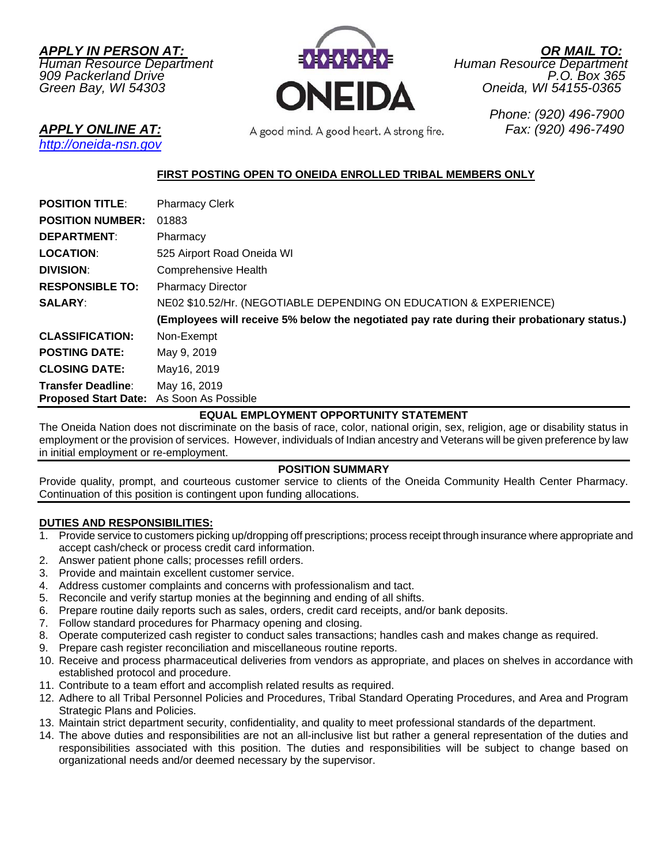*APPLY IN PERSON AT: OR MAIL TO:*



*Green Bay, WI 54303 Oneida, WI 54155-0365* 

*APPLY ONLINE AT: Fax: (920) 496-7490* 

 *Phone: (920) 496-7900* 

# *http://oneida-nsn.gov*

## **FIRST POSTING OPEN TO ONEIDA ENROLLED TRIBAL MEMBERS ONLY**

| <b>POSITION TITLE:</b>                   | <b>Pharmacy Clerk</b>                                                                       |
|------------------------------------------|---------------------------------------------------------------------------------------------|
| <b>POSITION NUMBER:</b>                  | 01883                                                                                       |
| <b>DEPARTMENT:</b>                       | Pharmacy                                                                                    |
| <b>LOCATION:</b>                         | 525 Airport Road Oneida WI                                                                  |
| <b>DIVISION:</b>                         | <b>Comprehensive Health</b>                                                                 |
| <b>RESPONSIBLE TO:</b>                   | <b>Pharmacy Director</b>                                                                    |
| <b>SALARY:</b>                           | NE02 \$10.52/Hr. (NEGOTIABLE DEPENDING ON EDUCATION & EXPERIENCE)                           |
|                                          | (Employees will receive 5% below the negotiated pay rate during their probationary status.) |
| <b>CLASSIFICATION:</b>                   | Non-Exempt                                                                                  |
| <b>POSTING DATE:</b>                     | May 9, 2019                                                                                 |
| <b>CLOSING DATE:</b>                     | May16, 2019                                                                                 |
| <b>Transfer Deadline:</b>                | May 16, 2019                                                                                |
| Proposed Start Date: As Soon As Possible |                                                                                             |

#### **EQUAL EMPLOYMENT OPPORTUNITY STATEMENT**

The Oneida Nation does not discriminate on the basis of race, color, national origin, sex, religion, age or disability status in employment or the provision of services. However, individuals of Indian ancestry and Veterans will be given preference by law in initial employment or re-employment.

#### **POSITION SUMMARY**

Provide quality, prompt, and courteous customer service to clients of the Oneida Community Health Center Pharmacy. Continuation of this position is contingent upon funding allocations.

## **DUTIES AND RESPONSIBILITIES:**

- 1. Provide service to customers picking up/dropping off prescriptions; process receipt through insurance where appropriate and accept cash/check or process credit card information.
- 2. Answer patient phone calls; processes refill orders.
- 3. Provide and maintain excellent customer service.
- 4. Address customer complaints and concerns with professionalism and tact.
- 5. Reconcile and verify startup monies at the beginning and ending of all shifts.
- 6. Prepare routine daily reports such as sales, orders, credit card receipts, and/or bank deposits.
- 7. Follow standard procedures for Pharmacy opening and closing.
- 8. Operate computerized cash register to conduct sales transactions; handles cash and makes change as required.
- 9. Prepare cash register reconciliation and miscellaneous routine reports.
- 10. Receive and process pharmaceutical deliveries from vendors as appropriate, and places on shelves in accordance with established protocol and procedure.
- 11. Contribute to a team effort and accomplish related results as required.
- 12. Adhere to all Tribal Personnel Policies and Procedures, Tribal Standard Operating Procedures, and Area and Program Strategic Plans and Policies.
- 13. Maintain strict department security, confidentiality, and quality to meet professional standards of the department.
- 14. The above duties and responsibilities are not an all-inclusive list but rather a general representation of the duties and responsibilities associated with this position. The duties and responsibilities will be subject to change based on organizational needs and/or deemed necessary by the supervisor.